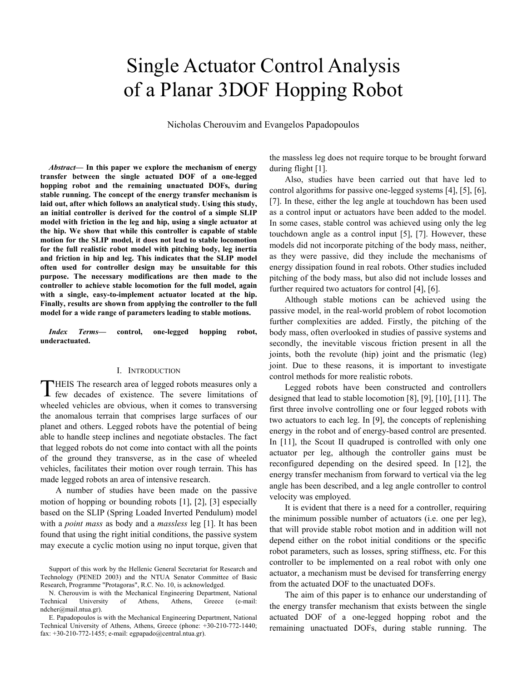# Single Actuator Control Analysis of a Planar 3DOF Hopping Robot

Nicholas Cherouvim and Evangelos Papadopoulos

*Abstract***— In this paper we explore the mechanism of energy transfer between the single actuated DOF of a one-legged hopping robot and the remaining unactuated DOFs, during stable running. The concept of the energy transfer mechanism is laid out, after which follows an analytical study. Using this study, an initial controller is derived for the control of a simple SLIP model with friction in the leg and hip, using a single actuator at the hip. We show that while this controller is capable of stable motion for the SLIP model, it does not lead to stable locomotion for the full realistic robot model with pitching body, leg inertia and friction in hip and leg. This indicates that the SLIP model often used for controller design may be unsuitable for this purpose. The necessary modifications are then made to the controller to achieve stable locomotion for the full model, again with a single, easy-to-implement actuator located at the hip. Finally, results are shown from applying the controller to the full model for a wide range of parameters leading to stable motions.** 

*Index Terms***— control, one-legged hopping robot, underactuated.** 

## I. INTRODUCTION

HEIS The research area of legged robots measures only a THEIS The research area of legged robots measures only a few decades of existence. The severe limitations of wheeled vehicles are obvious, when it comes to transversing the anomalous terrain that comprises large surfaces of our planet and others. Legged robots have the potential of being able to handle steep inclines and negotiate obstacles. The fact that legged robots do not come into contact with all the points of the ground they transverse, as in the case of wheeled vehicles, facilitates their motion over rough terrain. This has made legged robots an area of intensive research.

A number of studies have been made on the passive motion of hopping or bounding robots [1], [2], [3] especially based on the SLIP (Spring Loaded Inverted Pendulum) model with a *point mass* as body and a *massless* leg [1]. It has been found that using the right initial conditions, the passive system may execute a cyclic motion using no input torque, given that

N. Cherouvim is with the Mechanical Engineering Department, National Technical University of Athens, Athens, Greece (e-mail: ndcher@mail.ntua.gr).

the massless leg does not require torque to be brought forward during flight [1].

Also, studies have been carried out that have led to control algorithms for passive one-legged systems [4], [5], [6], [7]. In these, either the leg angle at touchdown has been used as a control input or actuators have been added to the model. In some cases, stable control was achieved using only the leg touchdown angle as a control input [5], [7]. However, these models did not incorporate pitching of the body mass, neither, as they were passive, did they include the mechanisms of energy dissipation found in real robots. Other studies included pitching of the body mass, but also did not include losses and further required two actuators for control [4], [6].

Although stable motions can be achieved using the passive model, in the real-world problem of robot locomotion further complexities are added. Firstly, the pitching of the body mass, often overlooked in studies of passive systems and secondly, the inevitable viscous friction present in all the joints, both the revolute (hip) joint and the prismatic (leg) joint. Due to these reasons, it is important to investigate control methods for more realistic robots.

Legged robots have been constructed and controllers designed that lead to stable locomotion [8], [9], [10], [11]. The first three involve controlling one or four legged robots with two actuators to each leg. In [9], the concepts of replenishing energy in the robot and of energy-based control are presented. In [11], the Scout II quadruped is controlled with only one actuator per leg, although the controller gains must be reconfigured depending on the desired speed. In [12], the energy transfer mechanism from forward to vertical via the leg angle has been described, and a leg angle controller to control velocity was employed.

It is evident that there is a need for a controller, requiring the minimum possible number of actuators (i.e. one per leg), that will provide stable robot motion and in addition will not depend either on the robot initial conditions or the specific robot parameters, such as losses, spring stiffness, etc. For this controller to be implemented on a real robot with only one actuator, a mechanism must be devised for transferring energy from the actuated DOF to the unactuated DOFs.

The aim of this paper is to enhance our understanding of the energy transfer mechanism that exists between the single actuated DOF of a one-legged hopping robot and the remaining unactuated DOFs, during stable running. The

Support of this work by the Hellenic General Secretariat for Research and Technology (PENED 2003) and the NTUA Senator Committee of Basic Research, Programme "Protagoras", R.C. No. 10, is acknowledged.

E. Papadopoulos is with the Mechanical Engineering Department, National Technical University of Athens, Athens, Greece (phone: +30-210-772-1440; fax: +30-210-772-1455; e-mail: egpapado@central.ntua.gr).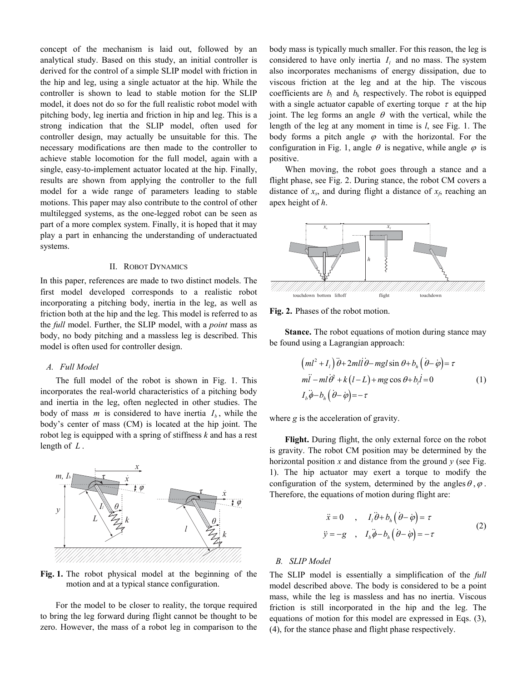concept of the mechanism is laid out, followed by an analytical study. Based on this study, an initial controller is derived for the control of a simple SLIP model with friction in the hip and leg, using a single actuator at the hip. While the controller is shown to lead to stable motion for the SLIP model, it does not do so for the full realistic robot model with pitching body, leg inertia and friction in hip and leg. This is a strong indication that the SLIP model, often used for controller design, may actually be unsuitable for this. The necessary modifications are then made to the controller to achieve stable locomotion for the full model, again with a single, easy-to-implement actuator located at the hip. Finally, results are shown from applying the controller to the full model for a wide range of parameters leading to stable motions. This paper may also contribute to the control of other multilegged systems, as the one-legged robot can be seen as part of a more complex system. Finally, it is hoped that it may play a part in enhancing the understanding of underactuated systems.

### II. ROBOT DYNAMICS

In this paper, references are made to two distinct models. The first model developed corresponds to a realistic robot incorporating a pitching body, inertia in the leg, as well as friction both at the hip and the leg. This model is referred to as the *full* model. Further, the SLIP model, with a *point* mass as body, no body pitching and a massless leg is described. This model is often used for controller design.

#### *A. Full Model*

The full model of the robot is shown in Fig. 1. This incorporates the real-world characteristics of a pitching body and inertia in the leg, often neglected in other studies. The body of mass  $m$  is considered to have inertia  $I<sub>b</sub>$ , while the body's center of mass (CM) is located at the hip joint. The robot leg is equipped with a spring of stiffness *k* and has a rest length of *L* .



**Fig. 1.** The robot physical model at the beginning of the motion and at a typical stance configuration.

For the model to be closer to reality, the torque required to bring the leg forward during flight cannot be thought to be zero. However, the mass of a robot leg in comparison to the

body mass is typically much smaller. For this reason, the leg is considered to have only inertia  $I_l$  and no mass. The system also incorporates mechanisms of energy dissipation, due to viscous friction at the leg and at the hip. The viscous coefficients are  $b_l$  and  $b_h$  respectively. The robot is equipped with a single actuator capable of exerting torque  $\tau$  at the hip joint. The leg forms an angle  $\theta$  with the vertical, while the length of the leg at any moment in time is *l*, see Fig. 1. The body forms a pitch angle  $\varphi$  with the horizontal. For the configuration in Fig. 1, angle  $\theta$  is negative, while angle  $\varphi$  is positive.

When moving, the robot goes through a stance and a flight phase, see Fig. 2. During stance, the robot CM covers a distance of  $x_s$ , and during flight a distance of  $x_f$ , reaching an apex height of *h*.



**Fig. 2.** Phases of the robot motion.

**Stance.** The robot equations of motion during stance may be found using a Lagrangian approach:

$$
(ml2 + Il) \ddot{\theta} + 2mil \dot{\theta} - mgl \sin \theta + bh (\dot{\theta} - \dot{\phi}) = \tau
$$
  
\n
$$
m\ddot{l} - ml \dot{\theta} + k(l - L) + mg \cos \theta + b_l \dot{l} = 0
$$
  
\n
$$
I_b \ddot{\phi} - b_h (\dot{\theta} - \dot{\phi}) = -\tau
$$
\n(1)

where *g* is the acceleration of gravity.

**Flight.** During flight, the only external force on the robot is gravity. The robot CM position may be determined by the horizontal position  $x$  and distance from the ground  $y$  (see Fig. 1). The hip actuator may exert a torque to modify the configuration of the system, determined by the angles  $\theta$ , $\varphi$ . Therefore, the equations of motion during flight are:

$$
\ddot{x} = 0 \qquad , \qquad I_i \ddot{\theta} + b_h \left( \dot{\theta} - \dot{\phi} \right) = \tau
$$
  

$$
\ddot{y} = -g \qquad , \quad I_b \ddot{\phi} - b_h \left( \dot{\theta} - \dot{\phi} \right) = -\tau
$$
 (2)

#### *B. SLIP Model*

The SLIP model is essentially a simplification of the *full*  model described above. The body is considered to be a point mass, while the leg is massless and has no inertia. Viscous friction is still incorporated in the hip and the leg. The equations of motion for this model are expressed in Eqs. (3), (4), for the stance phase and flight phase respectively.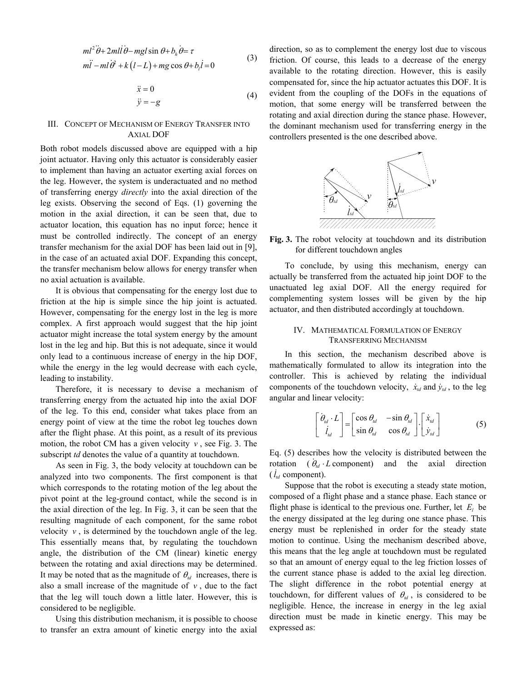$$
ml^{2}\ddot{\theta}+2mll\dot{\theta}-mgl\sin\theta+b_{h}\dot{\theta}=\tau
$$
  
\n
$$
m\ddot{l}-ml\dot{\theta}+k(l-L)+mg\cos\theta+b_{l}\dot{l}=0
$$
\n(3)

$$
\ddot{x} = 0
$$
  
\n
$$
\ddot{y} = -g
$$
 (4)

# III. CONCEPT OF MECHANISM OF ENERGY TRANSFER INTO AXIAL DOF

Both robot models discussed above are equipped with a hip joint actuator. Having only this actuator is considerably easier to implement than having an actuator exerting axial forces on the leg. However, the system is underactuated and no method of transferring energy *directly* into the axial direction of the leg exists. Observing the second of Eqs. (1) governing the motion in the axial direction, it can be seen that, due to actuator location, this equation has no input force; hence it must be controlled indirectly. The concept of an energy transfer mechanism for the axial DOF has been laid out in [9], in the case of an actuated axial DOF. Expanding this concept, the transfer mechanism below allows for energy transfer when no axial actuation is available.

It is obvious that compensating for the energy lost due to friction at the hip is simple since the hip joint is actuated. However, compensating for the energy lost in the leg is more complex. A first approach would suggest that the hip joint actuator might increase the total system energy by the amount lost in the leg and hip. But this is not adequate, since it would only lead to a continuous increase of energy in the hip DOF, while the energy in the leg would decrease with each cycle, leading to instability.

Therefore, it is necessary to devise a mechanism of transferring energy from the actuated hip into the axial DOF of the leg. To this end, consider what takes place from an energy point of view at the time the robot leg touches down after the flight phase. At this point, as a result of its previous motion, the robot CM has a given velocity  $v$ , see Fig. 3. The subscript *td* denotes the value of a quantity at touchdown.

As seen in Fig. 3, the body velocity at touchdown can be analyzed into two components. The first component is that which corresponds to the rotating motion of the leg about the pivot point at the leg-ground contact, while the second is in the axial direction of the leg. In Fig. 3, it can be seen that the resulting magnitude of each component, for the same robot velocity  $v$ , is determined by the touchdown angle of the leg. This essentially means that, by regulating the touchdown angle, the distribution of the CM (linear) kinetic energy between the rotating and axial directions may be determined. It may be noted that as the magnitude of  $\theta_{td}$  increases, there is also a small increase of the magnitude of  $v$ , due to the fact that the leg will touch down a little later. However, this is considered to be negligible.

Using this distribution mechanism, it is possible to choose to transfer an extra amount of kinetic energy into the axial direction, so as to complement the energy lost due to viscous friction. Of course, this leads to a decrease of the energy available to the rotating direction. However, this is easily compensated for, since the hip actuator actuates this DOF. It is evident from the coupling of the DOFs in the equations of motion, that some energy will be transferred between the rotating and axial direction during the stance phase. However, the dominant mechanism used for transferring energy in the controllers presented is the one described above.



**Fig. 3.** The robot velocity at touchdown and its distribution for different touchdown angles

To conclude, by using this mechanism, energy can actually be transferred from the actuated hip joint DOF to the unactuated leg axial DOF. All the energy required for complementing system losses will be given by the hip actuator, and then distributed accordingly at touchdown.

# IV. MATHEMATICAL FORMULATION OF ENERGY TRANSFERRING MECHANISM

In this section, the mechanism described above is mathematically formulated to allow its integration into the controller. This is achieved by relating the individual components of the touchdown velocity,  $\dot{x}_{td}$  and  $\dot{y}_{td}$ , to the leg angular and linear velocity:

$$
\begin{bmatrix} \dot{\theta}_{id} \cdot L \\ \dot{l}_{id} \end{bmatrix} = \begin{bmatrix} \cos \theta_{id} & -\sin \theta_{id} \\ \sin \theta_{id} & \cos \theta_{id} \end{bmatrix} \begin{bmatrix} \dot{x}_{id} \\ \dot{y}_{id} \end{bmatrix}
$$
 (5)

Eq. (5) describes how the velocity is distributed between the rotation ( $\dot{\theta}_{td} \cdot L$  component) and the axial direction  $(\dot{l}_{td}$  component).

Suppose that the robot is executing a steady state motion, composed of a flight phase and a stance phase. Each stance or flight phase is identical to the previous one. Further, let  $E_i$  be the energy dissipated at the leg during one stance phase. This energy must be replenished in order for the steady state motion to continue. Using the mechanism described above, this means that the leg angle at touchdown must be regulated so that an amount of energy equal to the leg friction losses of the current stance phase is added to the axial leg direction. The slight difference in the robot potential energy at touchdown, for different values of  $\theta_{td}$ , is considered to be negligible. Hence, the increase in energy in the leg axial direction must be made in kinetic energy. This may be expressed as: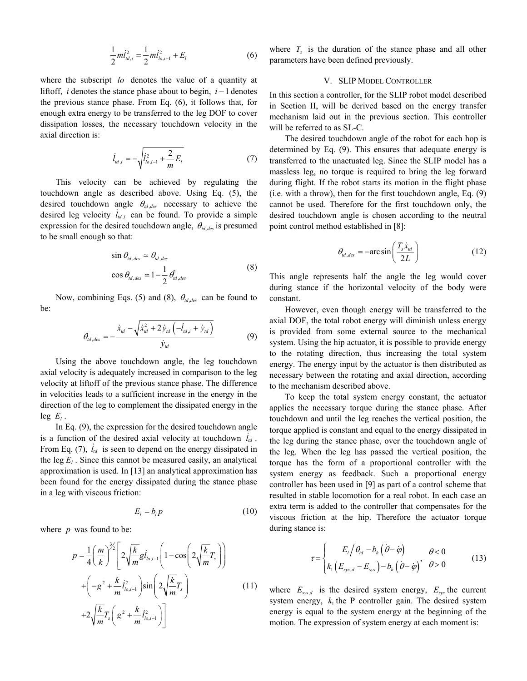$$
\frac{1}{2}ml_{id,i}^2 = \frac{1}{2}ml_{lo,i-1}^2 + E_l
$$
 (6)

where the subscript *lo* denotes the value of a quantity at liftoff, *i* denotes the stance phase about to begin, *i* − 1 denotes the previous stance phase. From Eq. (6), it follows that, for enough extra energy to be transferred to the leg DOF to cover dissipation losses, the necessary touchdown velocity in the axial direction is:

$$
\dot{l}_{id,i} = -\sqrt{\dot{l}_{io,i-1}^2 + \frac{2}{m}E_i}
$$
 (7)

This velocity can be achieved by regulating the touchdown angle as described above. Using Eq. (5), the desired touchdown angle  $\theta_{td,des}$  necessary to achieve the desired leg velocity  $\dot{l}_{d,i}$  can be found. To provide a simple expression for the desired touchdown angle,  $\theta_{td, des}$  is presumed to be small enough so that:

$$
\sin \theta_{td,des} \simeq \theta_{td,des}
$$
\n
$$
\cos \theta_{td,des} \simeq 1 - \frac{1}{2} \theta_{td,des}^2
$$
\n(8)

Now, combining Eqs. (5) and (8),  $\theta_{td,des}$  can be found to be:

$$
\theta_{id, des} = -\frac{\dot{x}_{id} - \sqrt{\dot{x}_{id}^2 + 2\dot{y}_{id} \left( -\dot{l}_{id,i} + \dot{y}_{id} \right)}}{\dot{y}_{id}}
$$
(9)

Using the above touchdown angle, the leg touchdown axial velocity is adequately increased in comparison to the leg velocity at liftoff of the previous stance phase. The difference in velocities leads to a sufficient increase in the energy in the direction of the leg to complement the dissipated energy in the leg  $E_l$ .

In Eq. (9), the expression for the desired touchdown angle is a function of the desired axial velocity at touchdown  $\tilde{l}_{td}$ . From Eq. (7),  $\dot{l}_{td}$  is seen to depend on the energy dissipated in the leg  $E_l$ . Since this cannot be measured easily, an analytical approximation is used. In [13] an analytical approximation has been found for the energy dissipated during the stance phase in a leg with viscous friction:

$$
E_l = b_l p \tag{10}
$$

where *p* was found to be:

$$
p = \frac{1}{4} \left(\frac{m}{k}\right)^{\frac{3}{2}} \left[2\sqrt{\frac{k}{m}} g l_{i_{o,i-1}} \left(1 - \cos\left(2\sqrt{\frac{k}{m}} T_s\right)\right) + \left(-g^2 + \frac{k}{m} l_{i_{o,i-1}}^2\right) \sin\left(2\sqrt{\frac{k}{m}} T_s\right) + 2\sqrt{\frac{k}{m}} T_s \left(g^2 + \frac{k}{m} l_{i_{o,i-1}}^2\right)\right]
$$
(11)

where  $T_s$  is the duration of the stance phase and all other parameters have been defined previously.

## V. SLIP MODEL CONTROLLER

In this section a controller, for the SLIP robot model described in Section II, will be derived based on the energy transfer mechanism laid out in the previous section. This controller will be referred to as SL-C.

The desired touchdown angle of the robot for each hop is determined by Eq. (9). This ensures that adequate energy is transferred to the unactuated leg. Since the SLIP model has a massless leg, no torque is required to bring the leg forward during flight. If the robot starts its motion in the flight phase (i.e. with a throw), then for the first touchdown angle, Eq. (9) cannot be used. Therefore for the first touchdown only, the desired touchdown angle is chosen according to the neutral point control method established in [8]:

$$
\theta_{id,des} = -\arcsin\left(\frac{T_s \dot{x}_{id}}{2L}\right) \tag{12}
$$

This angle represents half the angle the leg would cover during stance if the horizontal velocity of the body were constant.

However, even though energy will be transferred to the axial DOF, the total robot energy will diminish unless energy is provided from some external source to the mechanical system. Using the hip actuator, it is possible to provide energy to the rotating direction, thus increasing the total system energy. The energy input by the actuator is then distributed as necessary between the rotating and axial direction, according to the mechanism described above.

To keep the total system energy constant, the actuator applies the necessary torque during the stance phase. After touchdown and until the leg reaches the vertical position, the torque applied is constant and equal to the energy dissipated in the leg during the stance phase, over the touchdown angle of the leg. When the leg has passed the vertical position, the torque has the form of a proportional controller with the system energy as feedback. Such a proportional energy controller has been used in [9] as part of a control scheme that resulted in stable locomotion for a real robot. In each case an extra term is added to the controller that compensates for the viscous friction at the hip. Therefore the actuator torque during stance is:

$$
\tau = \begin{cases} E_{l} / \theta_{id} - b_{h} (\dot{\theta} - \dot{\phi}) & \theta < 0 \\ k_{1} (E_{sys,d} - E_{sys}) - b_{h} (\dot{\theta} - \dot{\phi}) & \theta > 0 \end{cases}
$$
(13)

where  $E_{sys,d}$  is the desired system energy,  $E_{sys}$  the current system energy,  $k_1$  the P controller gain. The desired system energy is equal to the system energy at the beginning of the motion. The expression of system energy at each moment is: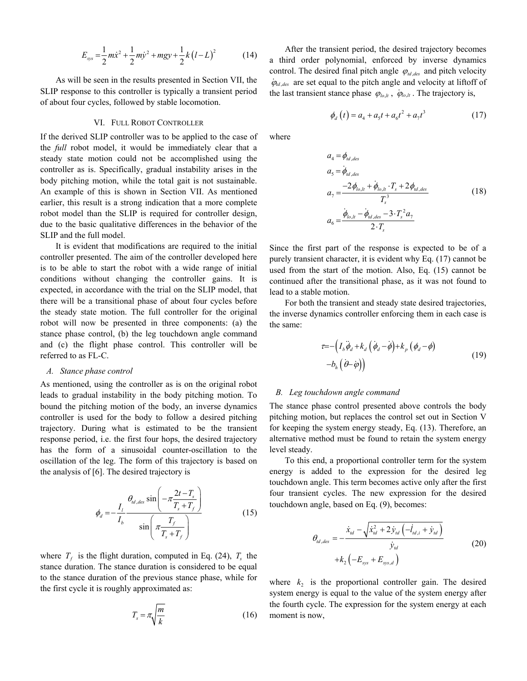$$
E_{\rm sys} = \frac{1}{2}m\dot{x}^2 + \frac{1}{2}m\dot{y}^2 + mgy + \frac{1}{2}k(l - L)^2 \tag{14}
$$

As will be seen in the results presented in Section VII, the SLIP response to this controller is typically a transient period of about four cycles, followed by stable locomotion.

# VI. FULL ROBOT CONTROLLER

If the derived SLIP controller was to be applied to the case of the *full* robot model, it would be immediately clear that a steady state motion could not be accomplished using the controller as is. Specifically, gradual instability arises in the body pitching motion, while the total gait is not sustainable. An example of this is shown in Section VII. As mentioned earlier, this result is a strong indication that a more complete robot model than the SLIP is required for controller design, due to the basic qualitative differences in the behavior of the SLIP and the full model.

It is evident that modifications are required to the initial controller presented. The aim of the controller developed here is to be able to start the robot with a wide range of initial conditions without changing the controller gains. It is expected, in accordance with the trial on the SLIP model, that there will be a transitional phase of about four cycles before the steady state motion. The full controller for the original robot will now be presented in three components: (a) the stance phase control, (b) the leg touchdown angle command and (c) the flight phase control. This controller will be referred to as FL-C.

#### *A. Stance phase control*

As mentioned, using the controller as is on the original robot leads to gradual instability in the body pitching motion. To bound the pitching motion of the body, an inverse dynamics controller is used for the body to follow a desired pitching trajectory. During what is estimated to be the transient response period, i.e. the first four hops, the desired trajectory has the form of a sinusoidal counter-oscillation to the oscillation of the leg. The form of this trajectory is based on the analysis of [6]. The desired trajectory is

$$
\phi_d = -\frac{I_i}{I_b} \frac{\theta_{td,des} \sin\left(-\pi \frac{2t - T_s}{T_s + T_f}\right)}{\sin\left(\pi \frac{T_f}{T_s + T_f}\right)}
$$
(15)

where  $T_f$  is the flight duration, computed in Eq. (24),  $T_s$  the stance duration. The stance duration is considered to be equal to the stance duration of the previous stance phase, while for the first cycle it is roughly approximated as:

$$
T_s = \pi \sqrt{\frac{m}{k}}\tag{16}
$$

After the transient period, the desired trajectory becomes a third order polynomial, enforced by inverse dynamics control. The desired final pitch angle  $\varphi_{td,des}$  and pitch velocity  $\dot{\varphi}_{td,des}$  are set equal to the pitch angle and velocity at liftoff of the last transient stance phase  $\varphi_{i_0,t}$ ,  $\dot{\varphi}_{i_0,t}$ . The trajectory is,

$$
\phi_d(t) = a_4 + a_5t + a_6t^2 + a_7t^3 \tag{17}
$$

where

$$
a_{4} = \phi_{td,des}
$$
  
\n
$$
a_{5} = \dot{\phi}_{td,des}
$$
  
\n
$$
a_{7} = \frac{-2\phi_{lo,lt} + \phi_{lo,lt} \cdot T_{s} + 2\phi_{td,des}}{T_{s}^{3}}
$$
  
\n
$$
a_{6} = \frac{\dot{\phi}_{lo,lt} - \dot{\phi}_{td,des} - 3 \cdot T_{s}^{2} a_{7}}{2 \cdot T_{s}}
$$
\n(18)

Since the first part of the response is expected to be of a purely transient character, it is evident why Eq. (17) cannot be used from the start of the motion. Also, Eq. (15) cannot be continued after the transitional phase, as it was not found to lead to a stable motion.

For both the transient and steady state desired trajectories, the inverse dynamics controller enforcing them in each case is the same:

$$
\tau = -\left(I_b \ddot{\phi}_d + k_d \left(\dot{\phi}_d - \dot{\phi}\right) + k_p \left(\phi_d - \phi\right)\right)
$$

$$
-b_h \left(\dot{\theta} - \dot{\phi}\right)\right)
$$
(19)

## *B. Leg touchdown angle command*

The stance phase control presented above controls the body pitching motion, but replaces the control set out in Section V for keeping the system energy steady, Eq. (13). Therefore, an alternative method must be found to retain the system energy level steady.

To this end, a proportional controller term for the system energy is added to the expression for the desired leg touchdown angle. This term becomes active only after the first four transient cycles. The new expression for the desired touchdown angle, based on Eq. (9), becomes:

$$
\theta_{id,des} = -\frac{\dot{x}_{id} - \sqrt{\dot{x}_{id}^2 + 2\dot{y}_{id} \left( -\dot{I}_{id,i} + \dot{y}_{id} \right)}}{\dot{y}_{id}}
$$
\n
$$
+k_2 \left( -E_{sys} + E_{sys,d} \right)
$$
\n(20)

where  $k<sub>2</sub>$  is the proportional controller gain. The desired system energy is equal to the value of the system energy after the fourth cycle. The expression for the system energy at each moment is now,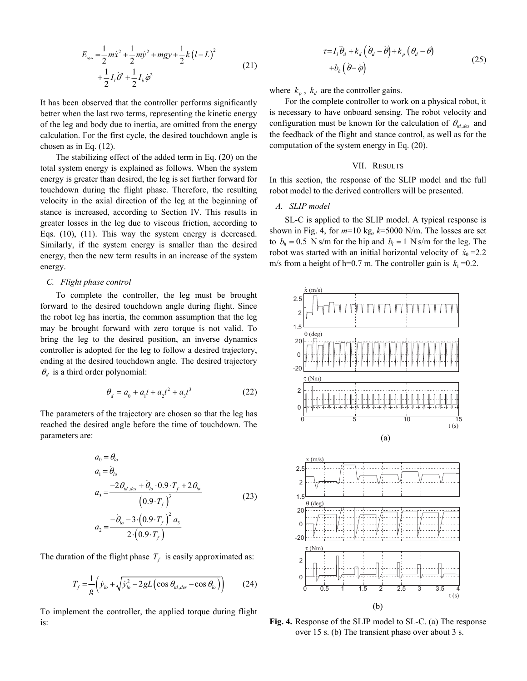$$
E_{\rm sys} = \frac{1}{2} m \dot{x}^2 + \frac{1}{2} m \dot{y}^2 + mgy + \frac{1}{2} k (l - L)^2
$$
  
 
$$
+ \frac{1}{2} I_i \dot{\theta}^2 + \frac{1}{2} I_b \dot{\phi}^2
$$
 (21)

It has been observed that the controller performs significantly better when the last two terms, representing the kinetic energy of the leg and body due to inertia, are omitted from the energy calculation. For the first cycle, the desired touchdown angle is chosen as in Eq. (12).

The stabilizing effect of the added term in Eq. (20) on the total system energy is explained as follows. When the system energy is greater than desired, the leg is set further forward for touchdown during the flight phase. Therefore, the resulting velocity in the axial direction of the leg at the beginning of stance is increased, according to Section IV. This results in greater losses in the leg due to viscous friction, according to Eqs. (10), (11). This way the system energy is decreased. Similarly, if the system energy is smaller than the desired energy, then the new term results in an increase of the system energy.

## *C. Flight phase control*

To complete the controller, the leg must be brought forward to the desired touchdown angle during flight. Since the robot leg has inertia, the common assumption that the leg may be brought forward with zero torque is not valid. To bring the leg to the desired position, an inverse dynamics controller is adopted for the leg to follow a desired trajectory, ending at the desired touchdown angle. The desired trajectory  $\theta_d$  is a third order polynomial:

$$
\theta_a = a_0 + a_1 t + a_2 t^2 + a_3 t^3 \tag{22}
$$

The parameters of the trajectory are chosen so that the leg has reached the desired angle before the time of touchdown. The parameters are:

$$
a_0 = \theta_{lo}
$$
  
\n
$$
a_1 = \theta_{lo}
$$
  
\n
$$
a_3 = \frac{-2\theta_{ld,des} + \theta_{lo} \cdot 0.9 \cdot T_f + 2\theta_{lo}}{(0.9 \cdot T_f)^3}
$$
  
\n
$$
a_2 = \frac{-\theta_{lo} - 3 \cdot (0.9 \cdot T_f)^2 a_3}{2 \cdot (0.9 \cdot T_f)}
$$
\n(23)

The duration of the flight phase  $T_f$  is easily approximated as:

$$
T_f = \frac{1}{g} \left( \dot{y}_{lo} + \sqrt{\dot{y}_{lo}^2 - 2gL \left( \cos \theta_{ld,des} - \cos \theta_{lo} \right)} \right)
$$
 (24)

To implement the controller, the applied torque during flight is:

$$
\tau = I_i \ddot{\theta}_d + k_d \left( \dot{\theta}_d - \dot{\theta} \right) + k_p \left( \theta_d - \theta \right)
$$
  
+ 
$$
b_h \left( \dot{\theta} - \dot{\phi} \right)
$$
 (25)

where  $k_p$ ,  $k_d$  are the controller gains.

For the complete controller to work on a physical robot, it is necessary to have onboard sensing. The robot velocity and configuration must be known for the calculation of  $\theta_{td,des}$  and the feedback of the flight and stance control, as well as for the computation of the system energy in Eq. (20).

# VII. RESULTS

In this section, the response of the SLIP model and the full robot model to the derived controllers will be presented.

#### *A. SLIP model*

SL-C is applied to the SLIP model. A typical response is shown in Fig. 4, for *m*=10 kg, *k*=5000 N/m. The losses are set to  $b_h = 0.5$  N s/m for the hip and  $b_l = 1$  N s/m for the leg. The robot was started with an initial horizontal velocity of  $\dot{x}_0 = 2.2$ m/s from a height of h=0.7 m. The controller gain is  $k_1 = 0.2$ .



**Fig. 4.** Response of the SLIP model to SL-C. (a) The response over 15 s. (b) The transient phase over about 3 s.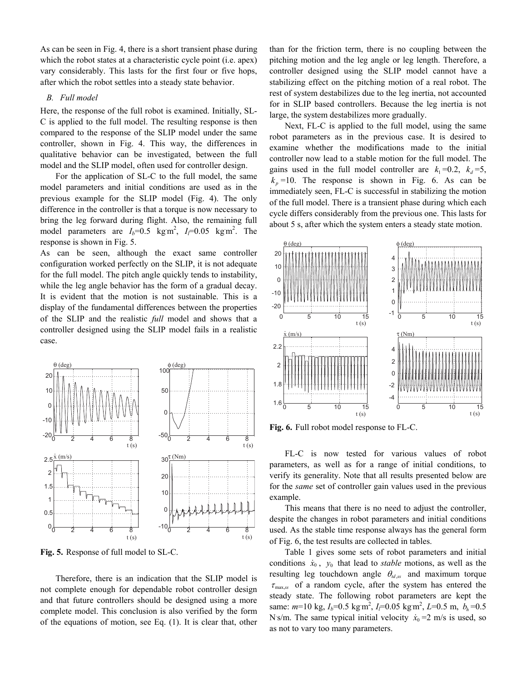As can be seen in Fig. 4, there is a short transient phase during which the robot states at a characteristic cycle point (i.e. apex) vary considerably. This lasts for the first four or five hops, after which the robot settles into a steady state behavior.

# *B. Full model*

Here, the response of the full robot is examined. Initially, SL-C is applied to the full model. The resulting response is then compared to the response of the SLIP model under the same controller, shown in Fig. 4. This way, the differences in qualitative behavior can be investigated, between the full model and the SLIP model, often used for controller design.

For the application of SL-C to the full model, the same model parameters and initial conditions are used as in the previous example for the SLIP model (Fig. 4). The only difference in the controller is that a torque is now necessary to bring the leg forward during flight. Also, the remaining full model parameters are  $I_b=0.5$  kgm<sup>2</sup>,  $I_f=0.05$  kgm<sup>2</sup>. The response is shown in Fig. 5.

As can be seen, although the exact same controller configuration worked perfectly on the SLIP, it is not adequate for the full model. The pitch angle quickly tends to instability, while the leg angle behavior has the form of a gradual decay. It is evident that the motion is not sustainable. This is a display of the fundamental differences between the properties of the SLIP and the realistic *full* model and shows that a controller designed using the SLIP model fails in a realistic case.



**Fig. 5.** Response of full model to SL-C.

Therefore, there is an indication that the SLIP model is not complete enough for dependable robot controller design and that future controllers should be designed using a more complete model. This conclusion is also verified by the form of the equations of motion, see Eq. (1). It is clear that, other than for the friction term, there is no coupling between the pitching motion and the leg angle or leg length. Therefore, a controller designed using the SLIP model cannot have a stabilizing effect on the pitching motion of a real robot. The rest of system destabilizes due to the leg inertia, not accounted for in SLIP based controllers. Because the leg inertia is not large, the system destabilizes more gradually.

Next, FL-C is applied to the full model, using the same robot parameters as in the previous case. It is desired to examine whether the modifications made to the initial controller now lead to a stable motion for the full model. The gains used in the full model controller are  $k_1 = 0.2$ ,  $k_d = 5$ ,  $k_p = 10$ . The response is shown in Fig. 6. As can be immediately seen, FL-C is successful in stabilizing the motion of the full model. There is a transient phase during which each cycle differs considerably from the previous one. This lasts for about 5 s, after which the system enters a steady state motion.



**Fig. 6.** Full robot model response to FL-C.

FL-C is now tested for various values of robot parameters, as well as for a range of initial conditions, to verify its generality. Note that all results presented below are for the *same* set of controller gain values used in the previous example.

This means that there is no need to adjust the controller, despite the changes in robot parameters and initial conditions used. As the stable time response always has the general form of Fig. 6, the test results are collected in tables.

Table 1 gives some sets of robot parameters and initial conditions  $\dot{x}_0$ ,  $y_0$  that lead to *stable* motions, as well as the resulting leg touchdown angle  $\theta_{td,ss}$  and maximum torque  $\tau_{\text{max,ss}}$  of a random cycle, after the system has entered the steady state. The following robot parameters are kept the same:  $m=10$  kg,  $I_b=0.5$  kg m<sup>2</sup>,  $I_f=0.05$  kg m<sup>2</sup>,  $L=0.5$  m,  $b_h=0.5$ N s/m. The same typical initial velocity  $\dot{x}_0 = 2$  m/s is used, so as not to vary too many parameters.